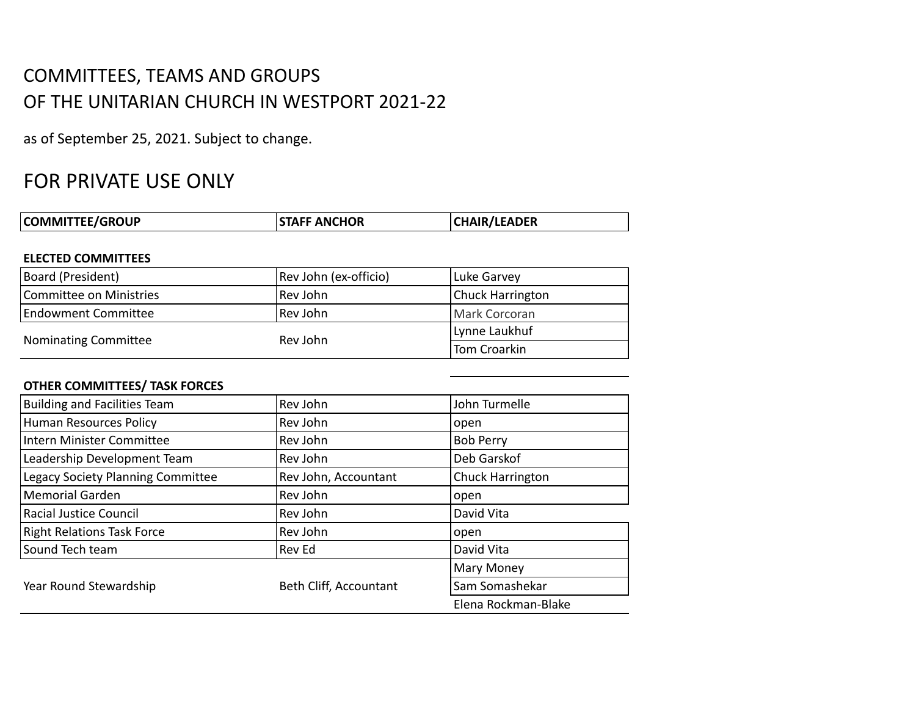# COMMITTEES, TEAMS AND GROUPS OF THE UNITARIAN CHURCH IN WESTPORT 2021-22

as of September 25, 2021. Subject to change.

# FOR PRIVATE USE ONLY

| <b>COMMITTEE/GROUP</b> | <b>STAFF ANCHOR</b> | <b>CHAIR/LEADER</b> |
|------------------------|---------------------|---------------------|
|                        |                     |                     |

### **ELECTED COMMITTEES**

| Board (President)           | Rev John (ex-officio) | Luke Garvey             |
|-----------------------------|-----------------------|-------------------------|
| Committee on Ministries     | Rev John              | <b>Chuck Harrington</b> |
| <b>Endowment Committee</b>  | Rev John              | Mark Corcoran           |
|                             | Rev John              | Lynne Laukhuf           |
| <b>Nominating Committee</b> |                       | Tom Croarkin            |

## **OTHER COMMITTEES/ TASK FORCES**

| <b>Building and Facilities Team</b> | Rev John               | John Turmelle       |
|-------------------------------------|------------------------|---------------------|
| <b>Human Resources Policy</b>       | Rev John               | open                |
| Intern Minister Committee           | Rev John               | <b>Bob Perry</b>    |
| Leadership Development Team         | Rev John               | Deb Garskof         |
| Legacy Society Planning Committee   | Rev John, Accountant   | Chuck Harrington    |
| <b>Memorial Garden</b>              | Rev John               | open                |
| <b>Racial Justice Council</b>       | Rev John               | David Vita          |
| <b>Right Relations Task Force</b>   | Rev John               | open                |
| Sound Tech team                     | Rev Ed                 | David Vita          |
|                                     |                        | <b>Mary Money</b>   |
| Year Round Stewardship              | Beth Cliff, Accountant | Sam Somashekar      |
|                                     |                        | Elena Rockman-Blake |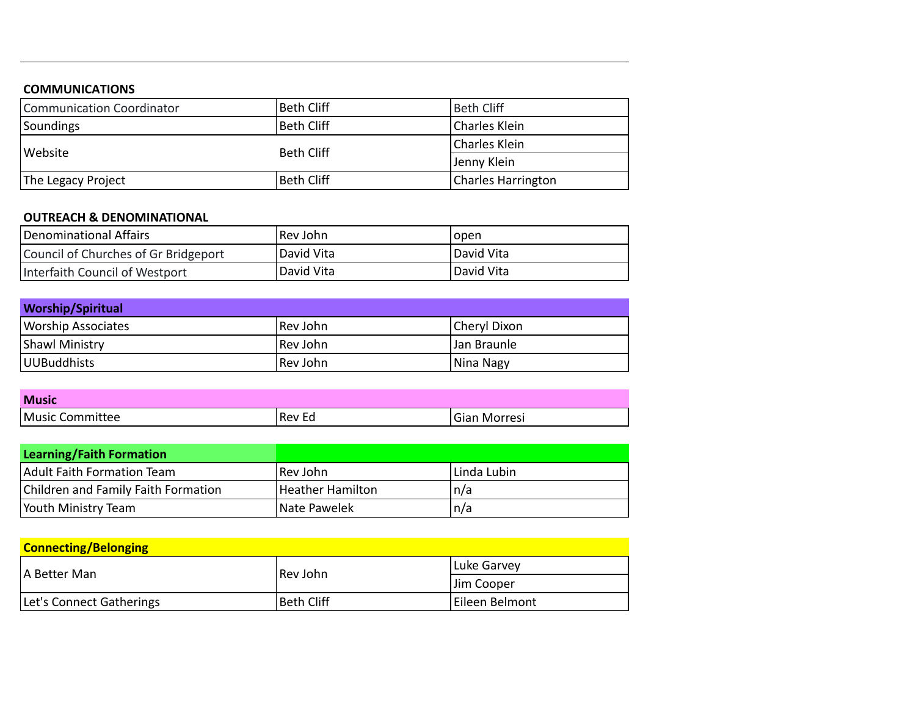### **COMMUNICATIONS**

| Communication Coordinator | <b>Beth Cliff</b> | <b>Beth Cliff</b>         |
|---------------------------|-------------------|---------------------------|
| Soundings                 | <b>Beth Cliff</b> | Charles Klein             |
|                           | <b>Beth Cliff</b> | Charles Klein             |
| l Website                 |                   | Jenny Klein               |
| The Legacy Project        | <b>Beth Cliff</b> | <b>Charles Harrington</b> |

### **OUTREACH & DENOMINATIONAL**

| Denominational Affairs               | Rev John   | Topen      |
|--------------------------------------|------------|------------|
| Council of Churches of Gr Bridgeport | David Vita | David Vita |
| Interfaith Council of Westport       | David Vita | David Vita |

| <b>Worship/Spiritual</b>  |            |              |
|---------------------------|------------|--------------|
| <b>Worship Associates</b> | l Rev John | Cheryl Dixon |
| <b>Shawl Ministry</b>     | l Rev John | Jan Braunle  |
| UUBuddhists               | Rev John   | Nina Nagy    |

| <b>Music</b>    |        |              |
|-----------------|--------|--------------|
| Music Committee | Rev Ed | Gian Morresi |

| <b>Learning/Faith Formation</b>     |                  |             |
|-------------------------------------|------------------|-------------|
| Adult Faith Formation Team          | Rev John         | Linda Lubin |
| Children and Family Faith Formation | Heather Hamilton | n/a         |
| Youth Ministry Team                 | Nate Pawelek     | n/a         |

| <b>Connecting/Belonging</b> |                   |                |
|-----------------------------|-------------------|----------------|
| IA Better Man               | Rev John          | Luke Garvey    |
|                             |                   | Jim Cooper     |
| Let's Connect Gatherings    | <b>Beth Cliff</b> | Eileen Belmont |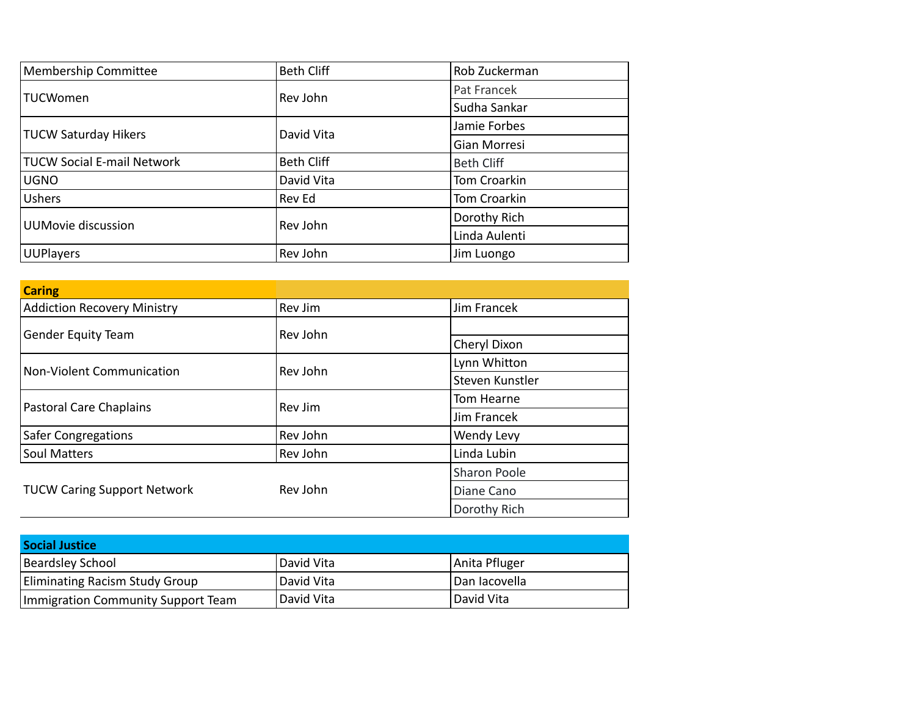| <b>Membership Committee</b>       | <b>Beth Cliff</b> | Rob Zuckerman     |
|-----------------------------------|-------------------|-------------------|
| <b>TUCWomen</b>                   | Rev John          | Pat Francek       |
|                                   |                   | Sudha Sankar      |
| <b>TUCW Saturday Hikers</b>       | David Vita        | Jamie Forbes      |
|                                   |                   | Gian Morresi      |
| <b>TUCW Social E-mail Network</b> | <b>Beth Cliff</b> | <b>Beth Cliff</b> |
| <b>UGNO</b>                       | David Vita        | Tom Croarkin      |
| <b>Ushers</b>                     | Rev Ed            | Tom Croarkin      |
| UUMovie discussion                | Rev John          | Dorothy Rich      |
|                                   |                   | Linda Aulenti     |
| <b>UUPlayers</b>                  | Rev John          | Jim Luongo        |

| <b>Caring</b>                      |          |                     |
|------------------------------------|----------|---------------------|
| <b>Addiction Recovery Ministry</b> | Rev Jim  | Jim Francek         |
| <b>Gender Equity Team</b>          | Rev John |                     |
|                                    |          | Cheryl Dixon        |
| <b>Non-Violent Communication</b>   | Rev John | Lynn Whitton        |
|                                    |          | Steven Kunstler     |
| Pastoral Care Chaplains            | Rev Jim  | Tom Hearne          |
|                                    |          | Jim Francek         |
| <b>Safer Congregations</b>         | Rev John | Wendy Levy          |
| <b>Soul Matters</b>                | Rev John | Linda Lubin         |
| <b>TUCW Caring Support Network</b> | Rev John | <b>Sharon Poole</b> |
|                                    |          | Diane Cano          |
|                                    |          | Dorothy Rich        |

| <b>Social Justice</b>                 |                   |               |
|---------------------------------------|-------------------|---------------|
| <b>Beardsley School</b>               | David Vita        | Anita Pfluger |
| <b>Eliminating Racism Study Group</b> | <b>David Vita</b> | Dan Iacovella |
| Immigration Community Support Team    | <b>David Vita</b> | l David Vita  |